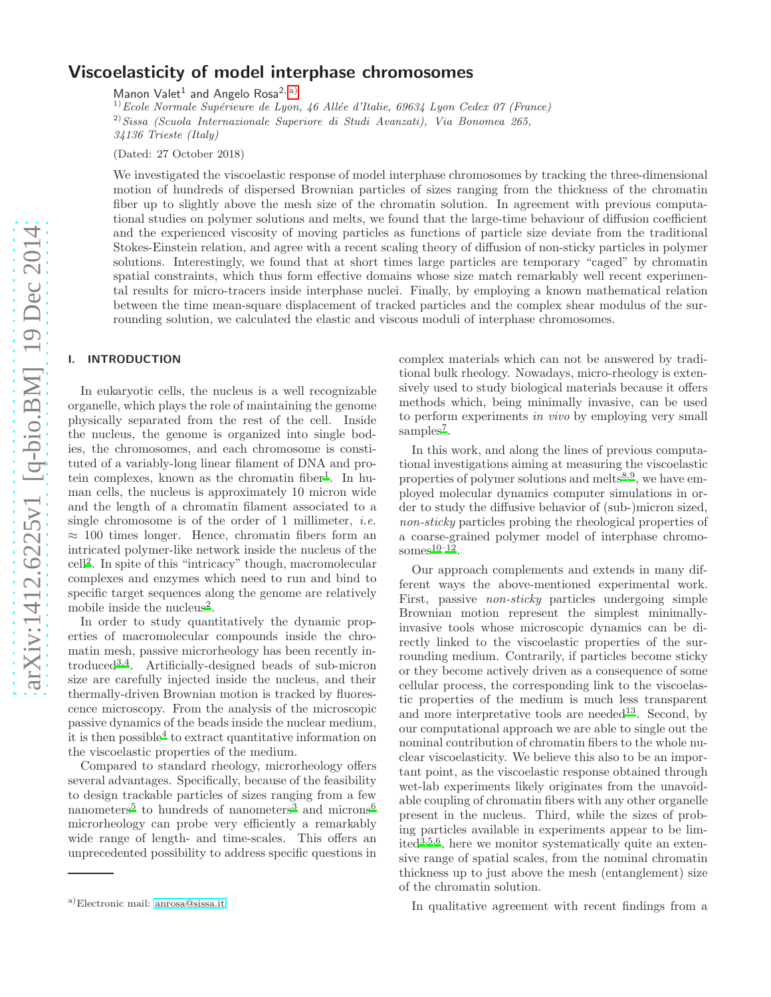# Viscoelasticity of model interphase chromosomes

Manon Valet<sup>1</sup> and Angelo Rosa<sup>2, [a\)](#page-0-0)</sup>

 $^{1)}$ Ecole Normale Supérieure de Lyon, 46 Allée d'Italie, 69634 Lyon Cedex 07 (France)  $^{2)}$ Sissa (Scuola Internazionale Superiore di Studi Avanzati), Via Bonomea 265, 34136 Trieste (Italy)

(Dated: 27 October 2018)

We investigated the viscoelastic response of model interphase chromosomes by tracking the three-dimensional motion of hundreds of dispersed Brownian particles of sizes ranging from the thickness of the chromatin fiber up to slightly above the mesh size of the chromatin solution. In agreement with previous computational studies on polymer solutions and melts, we found that the large-time behaviour of diffusion coefficient and the experienced viscosity of moving particles as functions of particle size deviate from the traditional Stokes-Einstein relation, and agree with a recent scaling theory of diffusion of non-sticky particles in polymer solutions. Interestingly, we found that at short times large particles are temporary "caged" by chromatin spatial constraints, which thus form effective domains whose size match remarkably well recent experimental results for micro-tracers inside interphase nuclei. Finally, by employing a known mathematical relation between the time mean-square displacement of tracked particles and the complex shear modulus of the surrounding solution, we calculated the elastic and viscous moduli of interphase chromosomes.

# I. INTRODUCTION

In eukaryotic cells, the nucleus is a well recognizable organelle, which plays the role of maintaining the genome physically separated from the rest of the cell. Inside the nucleus, the genome is organized into single bodies, the chromosomes, and each chromosome is constituted of a variably-long linear filament of DNA and pro-tein complexes, known as the chromatin fiber<sup>[1](#page-9-0)</sup>. In human cells, the nucleus is approximately 10 micron wide and the length of a chromatin filament associated to a single chromosome is of the order of 1 millimeter, *i.e.*  $\approx$  100 times longer. Hence, chromatin fibers form an intricated polymer-like network inside the nucleus of the cell[2](#page-9-1) . In spite of this "intricacy" though, macromolecular complexes and enzymes which need to run and bind to specific target sequences along the genome are relatively mobile inside the nucleus<sup>[2](#page-9-1)</sup>.

In order to study quantitatively the dynamic properties of macromolecular compounds inside the chromatin mesh, passive microrheology has been recently introduced[3](#page-9-2)[,4](#page-9-3). Artificially-designed beads of sub-micron size are carefully injected inside the nucleus, and their thermally-driven Brownian motion is tracked by fluorescence microscopy. From the analysis of the microscopic passive dynamics of the beads inside the nuclear medium, it is then possible[4](#page-9-3) to extract quantitative information on the viscoelastic properties of the medium.

Compared to standard rheology, microrheology offers several advantages. Specifically, because of the feasibility to design trackable particles of sizes ranging from a few nanometers<sup>[5](#page-9-4)</sup> to hundreds of nanometers<sup>[3](#page-9-2)</sup> and microns<sup>[6](#page-9-5)</sup> microrheology can probe very efficiently a remarkably wide range of length- and time-scales. This offers an unprecedented possibility to address specific questions in

complex materials which can not be answered by traditional bulk rheology. Nowadays, micro-rheology is extensively used to study biological materials because it offers methods which, being minimally invasive, can be used to perform experiments in vivo by employing very small samples<sup>[7](#page-9-6)</sup>.

In this work, and along the lines of previous computational investigations aiming at measuring the viscoelastic properties of polymer solutions and melts<sup>[8](#page-9-7)[,9](#page-9-8)</sup>, we have employed molecular dynamics computer simulations in order to study the diffusive behavior of (sub-)micron sized, non-sticky particles probing the rheological properties of a coarse-grained polymer model of interphase chromosomes $10-12$  $10-12$ .

Our approach complements and extends in many different ways the above-mentioned experimental work. First, passive *non-sticky* particles undergoing simple Brownian motion represent the simplest minimallyinvasive tools whose microscopic dynamics can be directly linked to the viscoelastic properties of the surrounding medium. Contrarily, if particles become sticky or they become actively driven as a consequence of some cellular process, the corresponding link to the viscoelastic properties of the medium is much less transparent and more interpretative tools are needed<sup>[13](#page-9-11)</sup>. Second, by our computational approach we are able to single out the nominal contribution of chromatin fibers to the whole nuclear viscoelasticity. We believe this also to be an important point, as the viscoelastic response obtained through wet-lab experiments likely originates from the unavoidable coupling of chromatin fibers with any other organelle present in the nucleus. Third, while the sizes of probing particles available in experiments appear to be limited $3,5,6$  $3,5,6$  $3,5,6$ , here we monitor systematically quite an extensive range of spatial scales, from the nominal chromatin thickness up to just above the mesh (entanglement) size of the chromatin solution.

In qualitative agreement with recent findings from a

<span id="page-0-0"></span>a)Electronic mail: [anrosa@sissa.it](mailto:anrosa@sissa.it)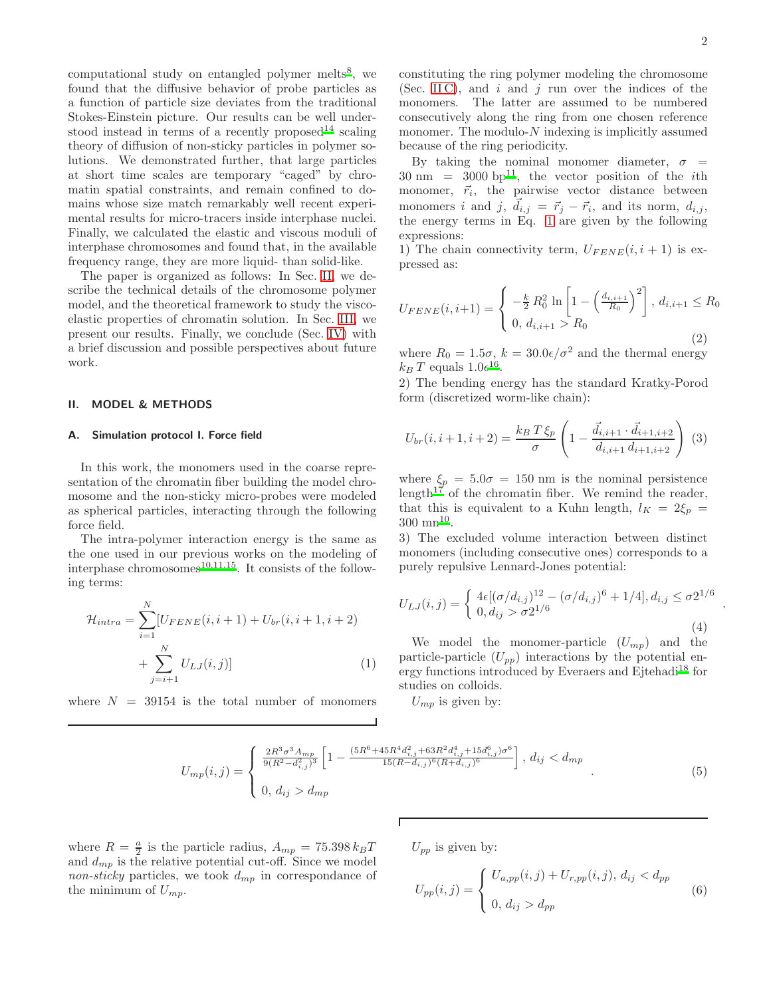computational study on entangled polymer melts<sup>[8](#page-9-7)</sup>, we found that the diffusive behavior of probe particles as a function of particle size deviates from the traditional Stokes-Einstein picture. Our results can be well under-stood instead in terms of a recently proposed<sup>[14](#page-9-12)</sup> scaling theory of diffusion of non-sticky particles in polymer solutions. We demonstrated further, that large particles at short time scales are temporary "caged" by chromatin spatial constraints, and remain confined to domains whose size match remarkably well recent experimental results for micro-tracers inside interphase nuclei. Finally, we calculated the elastic and viscous moduli of interphase chromosomes and found that, in the available frequency range, they are more liquid- than solid-like.

The paper is organized as follows: In Sec. [II,](#page-1-0) we describe the technical details of the chromosome polymer model, and the theoretical framework to study the viscoelastic properties of chromatin solution. In Sec. [III,](#page-3-0) we present our results. Finally, we conclude (Sec. [IV\)](#page-7-0) with a brief discussion and possible perspectives about future work.

## <span id="page-1-0"></span>II. MODEL & METHODS

## A. Simulation protocol I. Force field

In this work, the monomers used in the coarse representation of the chromatin fiber building the model chromosome and the non-sticky micro-probes were modeled as spherical particles, interacting through the following force field.

The intra-polymer interaction energy is the same as the one used in our previous works on the modeling of interphase chromosomes<sup>[10](#page-9-9)[,11](#page-9-13)[,15](#page-9-14)</sup>. It consists of the following terms:

<span id="page-1-1"></span>
$$
\mathcal{H}_{intra} = \sum_{i=1}^{N} [U_{FENE}(i, i+1) + U_{br}(i, i+1, i+2) + \sum_{j=i+1}^{N} U_{LJ}(i, j)]
$$
\n(1)

where  $N = 39154$  is the total number of monomers

2

.

constituting the ring polymer modeling the chromosome (Sec. IIC), and  $i$  and  $j$  run over the indices of the monomers. The latter are assumed to be numbered consecutively along the ring from one chosen reference monomer. The modulo- $N$  indexing is implicitly assumed because of the ring periodicity.

By taking the nominal monomer diameter,  $\sigma$  =  $30 \text{ nm} = 3000 \text{ bp}^{11}$  $30 \text{ nm} = 3000 \text{ bp}^{11}$  $30 \text{ nm} = 3000 \text{ bp}^{11}$ , the vector position of the *i*th monomer,  $\vec{r}_i$ , the pairwise vector distance between monomers i and j,  $\vec{d}_{i,j} = \vec{r}_j - \vec{r}_i$ , and its norm,  $d_{i,j}$ , the energy terms in Eq. [1](#page-1-1) are given by the following expressions:

1) The chain connectivity term,  $U_{FENE}(i, i + 1)$  is expressed as:

$$
U_{FENE}(i, i+1) = \begin{cases} -\frac{k}{2} R_0^2 \ln \left[ 1 - \left( \frac{d_{i,i+1}}{R_0} \right)^2 \right], d_{i,i+1} \le R_0\\ 0, d_{i,i+1} > R_0 \end{cases}
$$
(2)

where  $R_0 = 1.5\sigma$ ,  $k = 30.0\epsilon/\sigma^2$  and the thermal energy  $k_B T$  equals  $1.0e^{16}$  $1.0e^{16}$  $1.0e^{16}$ .

2) The bending energy has the standard Kratky-Porod form (discretized worm-like chain):

$$
U_{br}(i, i+1, i+2) = \frac{k_B T \xi_p}{\sigma} \left( 1 - \frac{\vec{d}_{i,i+1} \cdot \vec{d}_{i+1,i+2}}{d_{i,i+1} d_{i+1,i+2}} \right) (3)
$$

where  $\xi_p = 5.0\sigma = 150$  nm is the nominal persistence length<sup>[17](#page-9-16)</sup> of the chromatin fiber. We remind the reader, that this is equivalent to a Kuhn length,  $l_K = 2\xi_p =$  $300 \; \mathrm{mm}^{10}$  $300 \; \mathrm{mm}^{10}$  $300 \; \mathrm{mm}^{10}$ .

3) The excluded volume interaction between distinct monomers (including consecutive ones) corresponds to a purely repulsive Lennard-Jones potential:

<span id="page-1-4"></span>
$$
U_{LJ}(i,j) = \begin{cases} 4\epsilon [(\sigma/d_{i,j})^{12} - (\sigma/d_{i,j})^6 + 1/4], d_{i,j} \le \sigma 2^{1/6} \\ 0, d_{ij} > \sigma 2^{1/6} \end{cases}
$$
(4)

We model the monomer-particle  $(U_{mp})$  and the particle-particle  $(U_{pp})$  interactions by the potential en-ergy functions introduced by Everaers and Ejtehadi<sup>[18](#page-9-17)</sup> for studies on colloids.

 $U_{mp}$  is given by:

<span id="page-1-2"></span>
$$
U_{mp}(i,j) = \begin{cases} \frac{2R^3\sigma^3 A_{mp}}{9(R^2 - d_{i,j}^2)^3} \left[ 1 - \frac{(5R^6 + 45R^4d_{i,j}^2 + 63R^2d_{i,j}^4 + 15d_{i,j}^6)\sigma^6}{15(R - d_{i,j})^6(R + d_{i,j})^6} \right], \, d_{ij} < d_{mp} \\ 0, \, d_{ij} > d_{mp} \end{cases} \tag{5}
$$

where  $R = \frac{a}{2}$  is the particle radius,  $A_{mp} = 75.398 k_B T$ and  $d_{mp}$  is the relative potential cut-off. Since we model non-sticky particles, we took  $d_{mp}$  in correspondance of the minimum of  $U_{mp}$ .

 $U_{pp}$  is given by:

<span id="page-1-3"></span>
$$
U_{pp}(i,j) = \begin{cases} U_{a,pp}(i,j) + U_{r,pp}(i,j), d_{ij} < d_{pp} \\ 0, d_{ij} > d_{pp} \end{cases}
$$
(6)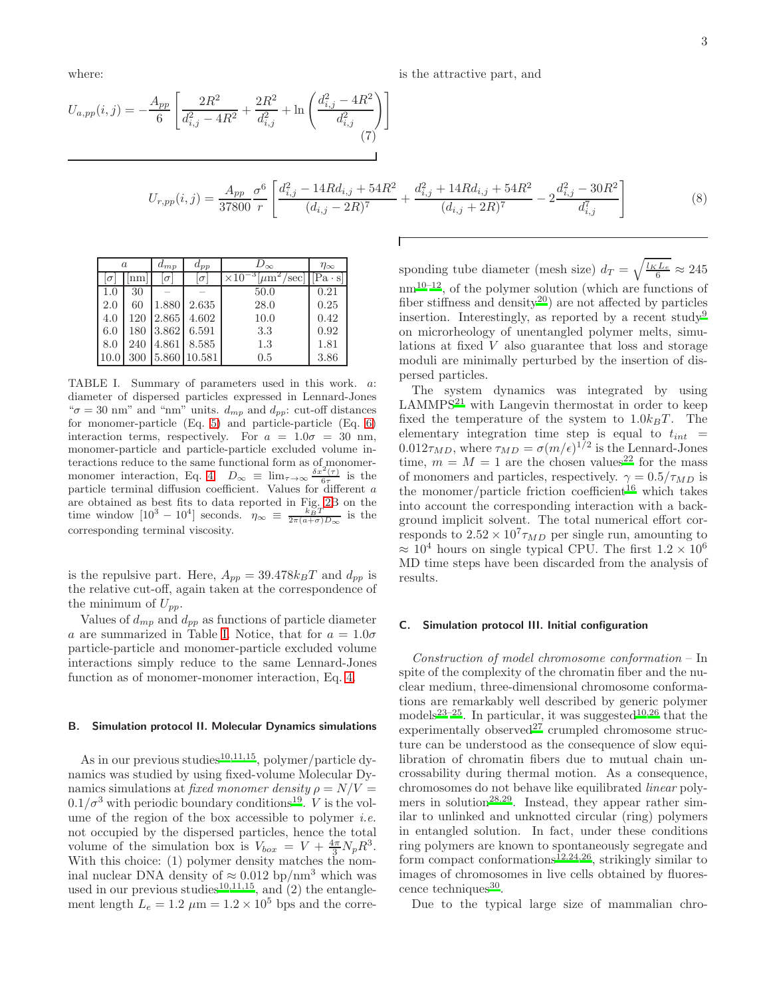where:

$$
U_{a,pp}(i,j) = -\frac{A_{pp}}{6} \left[ \frac{2R^2}{d_{i,j}^2 - 4R^2} + \frac{2R^2}{d_{i,j}^2} + \ln\left(\frac{d_{i,j}^2 - 4R^2}{d_{i,j}^2}\right) \right]
$$
  
(7)  

$$
U_{r,pp}(i,j) = \frac{A_{pp}}{37800} \frac{\sigma^6}{r} \left[ \frac{d_{i,j}^2 - 14Rd_{i,j} + 54R^2}{(d_{i,j} - 2R)^7} + \frac{d_{i,j}^2 + 14Rd_{i,j} + 54R^2}{(d_{i,j} + 2R)^7} - 2\frac{d_{i,j}^2 - 30R^2}{d_{i,j}^7} \right]
$$
(8)

| $\alpha$ |     | $a_{mp}$ | $a_{pp}$ | $D_{\infty}$                           | $\eta_{\infty}$ |
|----------|-----|----------|----------|----------------------------------------|-----------------|
| σ        | nm  | $\sigma$ | $\sigma$ | — 3 Г<br>$\times 10$<br>sec<br>$\mu$ m | $[Pa \cdot s'$  |
| 1.0      | 30  |          |          | 50.0                                   | 0.21            |
| 2.0      | 60  | 1.880    | 2.635    | 28.0                                   | 0.25            |
| 4.0      | 120 | 2.865    | 4.602    | 10.0                                   | 0.42            |
| 6.0      | 180 | 3.862    | 6.591    | 3.3                                    | 0.92            |
| 8.0      | 240 | 4.861    | 8.585    | 1.3                                    | 1.81            |
| 10.0     | 300 | 5.860    | 10.581   | 0.5                                    | 3.86            |

<span id="page-2-1"></span>TABLE I. Summary of parameters used in this work. a: diameter of dispersed particles expressed in Lennard-Jones " $\sigma = 30$  nm" and "nm" units.  $d_{mp}$  and  $d_{pp}$ : cut-off distances for monomer-particle (Eq. [5\)](#page-1-2) and particle-particle (Eq. [6\)](#page-1-3) interaction terms, respectively. For  $a = 1.0\sigma = 30$  nm, monomer-particle and particle-particle excluded volume interactions reduce to the same functional form as of monomer-monomer interaction, Eq. [4.](#page-1-4)  $D_{\infty} \equiv \lim_{\tau \to \infty} \frac{\delta x^2(\tau)}{6\tau}$  is the particle terminal diffusion coefficient. Values for different a are obtained as best fits to data reported in Fig. [2B](#page-5-0) on the time window  $[10^3 - 10^4]$  seconds.  $\eta_{\infty} \equiv \frac{k_B T}{2\pi (a+\sigma)D_{\infty}}$  is the corresponding terminal viscosity.

is the repulsive part. Here,  $A_{pp} = 39.478 k_BT$  and  $d_{pp}$  is the relative cut-off, again taken at the correspondence of the minimum of  $U_{pp}$ .

Values of  $d_{mp}$  and  $d_{pp}$  as functions of particle diameter a are summarized in Table [I.](#page-2-1) Notice, that for  $a = 1.0\sigma$ particle-particle and monomer-particle excluded volume interactions simply reduce to the same Lennard-Jones function as of monomer-monomer interaction, Eq. [4.](#page-1-4)

#### <span id="page-2-2"></span>B. Simulation protocol II. Molecular Dynamics simulations

As in our previous studies<sup>[10](#page-9-9)[,11](#page-9-13)[,15](#page-9-14)</sup>, polymer/particle dynamics was studied by using fixed-volume Molecular Dynamics simulations at *fixed monomer density*  $\rho = N/V =$  $0.1/\sigma^3$  with periodic boundary conditions<sup>[19](#page-9-18)</sup>. *V* is the volume of the region of the box accessible to polymer *i.e.* not occupied by the dispersed particles, hence the total volume of the simulation box is  $V_{box} = V + \frac{4\pi}{3} N_p R^3$ . With this choice: (1) polymer density matches the nominal nuclear DNA density of  $\approx 0.012$  bp/nm<sup>3</sup> which was used in our previous studies<sup>[10](#page-9-9)[,11](#page-9-13)[,15](#page-9-14)</sup>, and  $(2)$  the entanglement length  $L_e = 1.2 \mu m = 1.2 \times 10^5$  bps and the corre-

sponding tube diameter (mesh size)  $d_T = \sqrt{\frac{l_K L_e}{6}} \approx 245$  $nm^{10-12}$  $nm^{10-12}$  $nm^{10-12}$ , of the polymer solution (which are functions of fiber stiffness and density<sup>[20](#page-9-19)</sup>) are not affected by particles insertion. Interestingly, as reported by a recent study<sup>[9](#page-9-8)</sup> on microrheology of unentangled polymer melts, simulations at fixed V also guarantee that loss and storage moduli are minimally perturbed by the insertion of dispersed particles.

The system dynamics was integrated by using  $LAMMPS<sup>21</sup>$  $LAMMPS<sup>21</sup>$  $LAMMPS<sup>21</sup>$  with Langevin thermostat in order to keep fixed the temperature of the system to  $1.0k_BT$ . The elementary integration time step is equal to  $t_{int}$  =  $0.012\tau_{MD}$ , where  $\tau_{MD} = \sigma(m/\epsilon)^{1/2}$  is the Lennard-Jones time,  $m = M = 1$  are the chosen values<sup>[22](#page-9-21)</sup> for the mass of monomers and particles, respectively.  $\gamma = 0.5/\tau_{MD}$  is the monomer/particle friction coefficient<sup>[16](#page-9-15)</sup> which takes into account the corresponding interaction with a background implicit solvent. The total numerical effort corresponds to  $2.52 \times 10^7 \tau_{MD}$  per single run, amounting to  $\approx 10^4$  hours on single typical CPU. The first  $1.2 \times 10^6$ MD time steps have been discarded from the analysis of results.

#### <span id="page-2-0"></span>C. Simulation protocol III. Initial configuration

Construction of model chromosome conformation – In spite of the complexity of the chromatin fiber and the nuclear medium, three-dimensional chromosome conformations are remarkably well described by generic polymer models<sup>[23](#page-9-22)[–25](#page-9-23)</sup>. In particular, it was suggested<sup>[10](#page-9-9)[,26](#page-9-24)</sup> that the experimentally observed<sup>[27](#page-9-25)</sup> crumpled chromosome structure can be understood as the consequence of slow equilibration of chromatin fibers due to mutual chain uncrossability during thermal motion. As a consequence, chromosomes do not behave like equilibrated linear poly-mers in solution<sup>[28](#page-9-26)[,29](#page-9-27)</sup>. Instead, they appear rather similar to unlinked and unknotted circular (ring) polymers in entangled solution. In fact, under these conditions ring polymers are known to spontaneously segregate and form compact conformations<sup>[12](#page-9-10)[,24](#page-9-28)[,26](#page-9-24)</sup>, strikingly similar to images of chromosomes in live cells obtained by fluores-cence techniques<sup>[30](#page-9-29)</sup>.

Due to the typical large size of mammalian chro-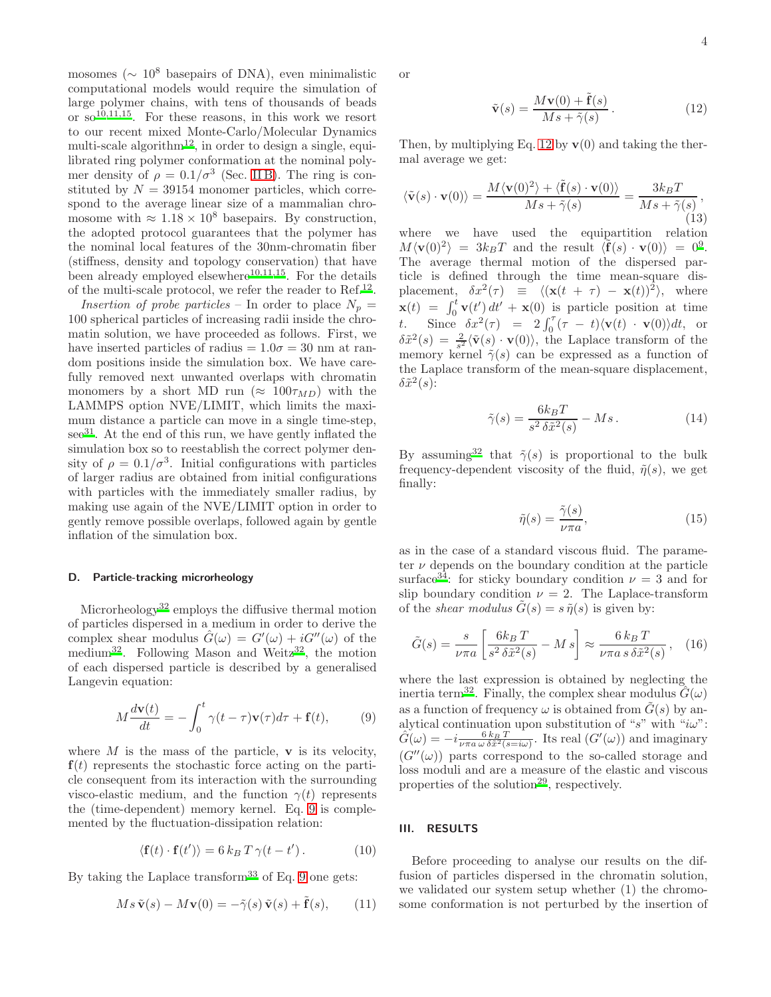4

mosomes ( $\sim 10^8$  basepairs of DNA), even minimalistic computational models would require the simulation of large polymer chains, with tens of thousands of beads or  $so^{10,11,15}$  $so^{10,11,15}$  $so^{10,11,15}$  $so^{10,11,15}$  $so^{10,11,15}$ . For these reasons, in this work we resort to our recent mixed Monte-Carlo/Molecular Dynamics multi-scale algorithm<sup>[12](#page-9-10)</sup>, in order to design a single, equilibrated ring polymer conformation at the nominal polymer density of  $\rho = 0.1/\sigma^3$  (Sec. [II B\)](#page-2-2). The ring is constituted by  $N = 39154$  monomer particles, which correspond to the average linear size of a mammalian chromosome with  $\approx 1.18 \times 10^8$  basepairs. By construction, the adopted protocol guarantees that the polymer has the nominal local features of the 30nm-chromatin fiber (stiffness, density and topology conservation) that have been already employed elsewhere<sup>[10](#page-9-9)[,11](#page-9-13)[,15](#page-9-14)</sup>. For the details of the multi-scale protocol, we refer the reader to  $\text{Ref.}^{12}$  $\text{Ref.}^{12}$  $\text{Ref.}^{12}$ .

Insertion of probe particles – In order to place  $N_p =$ 100 spherical particles of increasing radii inside the chromatin solution, we have proceeded as follows. First, we have inserted particles of radius  $= 1.0\sigma = 30$  nm at random positions inside the simulation box. We have carefully removed next unwanted overlaps with chromatin monomers by a short MD run ( $\approx 100\tau_{MD}$ ) with the LAMMPS option NVE/LIMIT, which limits the maximum distance a particle can move in a single time-step,  $\sec^{31}$  $\sec^{31}$  $\sec^{31}$ . At the end of this run, we have gently inflated the simulation box so to reestablish the correct polymer density of  $\rho = 0.1/\sigma^3$ . Initial configurations with particles of larger radius are obtained from initial configurations with particles with the immediately smaller radius, by making use again of the NVE/LIMIT option in order to gently remove possible overlaps, followed again by gentle inflation of the simulation box.

#### <span id="page-3-3"></span>D. Particle-tracking microrheology

Microrheology<sup>[32](#page-9-31)</sup> employs the diffusive thermal motion of particles dispersed in a medium in order to derive the complex shear modulus  $\hat{G}(\omega) = G'(\omega) + iG''(\omega)$  of the medium<sup>[32](#page-9-31)</sup>. Following Mason and Weitz<sup>32</sup>, the motion of each dispersed particle is described by a generalised Langevin equation:

<span id="page-3-1"></span>
$$
M\frac{d\mathbf{v}(t)}{dt} = -\int_0^t \gamma(t-\tau)\mathbf{v}(\tau)d\tau + \mathbf{f}(t),\qquad(9)
$$

where  $M$  is the mass of the particle,  $\bf{v}$  is its velocity,  $f(t)$  represents the stochastic force acting on the particle consequent from its interaction with the surrounding visco-elastic medium, and the function  $\gamma(t)$  represents the (time-dependent) memory kernel. Eq. [9](#page-3-1) is complemented by the fluctuation-dissipation relation:

$$
\langle \mathbf{f}(t) \cdot \mathbf{f}(t') \rangle = 6 k_B T \gamma (t - t') \,. \tag{10}
$$

By taking the Laplace transform<sup>[33](#page-9-32)</sup> of Eq. [9](#page-3-1) one gets:

$$
Ms \tilde{\mathbf{v}}(s) - M\mathbf{v}(0) = -\tilde{\gamma}(s)\tilde{\mathbf{v}}(s) + \tilde{\mathbf{f}}(s), \qquad (11)
$$

or

<span id="page-3-2"></span>
$$
\tilde{\mathbf{v}}(s) = \frac{M\mathbf{v}(0) + \tilde{\mathbf{f}}(s)}{Ms + \tilde{\gamma}(s)}.
$$
\n(12)

Then, by multiplying Eq. [12](#page-3-2) by  $\mathbf{v}(0)$  and taking the thermal average we get:

$$
\langle \tilde{\mathbf{v}}(s) \cdot \mathbf{v}(0) \rangle = \frac{M \langle \mathbf{v}(0)^2 \rangle + \langle \tilde{\mathbf{f}}(s) \cdot \mathbf{v}(0) \rangle}{Ms + \tilde{\gamma}(s)} = \frac{3k_B T}{Ms + \tilde{\gamma}(s)},
$$
\n(13)

where we have used the equipartition relation  $M\langle \mathbf{v}(0)^2\rangle = 3k_BT$  and the result  $\langle \tilde{\mathbf{f}}(s) \cdot \mathbf{v}(0)\rangle = 0^9$  $\langle \tilde{\mathbf{f}}(s) \cdot \mathbf{v}(0)\rangle = 0^9$ . The average thermal motion of the dispersed particle is defined through the time mean-square displacement,  $\delta x^2(\tau) \equiv \langle (\mathbf{x}(t + \tau) - \mathbf{x}(t))^2 \rangle$ , where  $\mathbf{x}(t) = \int_0^t \mathbf{v}(t') dt' + \mathbf{x}(0)$  is particle position at time t. Since  $\delta x^2(\tau) = 2 \int_0^{\tau} (\tau - t) \langle \mathbf{v}(t) \cdot \mathbf{v}(0) \rangle dt$ , or  $\delta \tilde{x}^2(s) = \frac{2}{s^2} \langle \tilde{\mathbf{v}}(s) \cdot \mathbf{v}(0) \rangle$ , the Laplace transform of the memory kernel  $\tilde{\gamma}(s)$  can be expressed as a function of the Laplace transform of the mean-square displacement,  $\delta \tilde{x}^2(s)$ :

$$
\tilde{\gamma}(s) = \frac{6k_B T}{s^2 \delta \tilde{x}^2(s)} - Ms. \tag{14}
$$

By assuming<sup>[32](#page-9-31)</sup> that  $\tilde{\gamma}(s)$  is proportional to the bulk frequency-dependent viscosity of the fluid,  $\tilde{\eta}(s)$ , we get finally:

$$
\tilde{\eta}(s) = \frac{\tilde{\gamma}(s)}{\nu \pi a},\tag{15}
$$

as in the case of a standard viscous fluid. The parameter  $\nu$  depends on the boundary condition at the particle surface<sup>[34](#page-9-33)</sup>: for sticky boundary condition  $\nu = 3$  and for slip boundary condition  $\nu = 2$ . The Laplace-transform of the *shear modulus*  $\tilde{G}(s) = s \tilde{\eta}(s)$  is given by:

$$
\tilde{G}(s) = \frac{s}{\nu \pi a} \left[ \frac{6k_B T}{s^2 \delta \tilde{x}^2(s)} - M s \right] \approx \frac{6 k_B T}{\nu \pi a s \delta \tilde{x}^2(s)}, \quad (16)
$$

where the last expression is obtained by neglecting the inertia term<sup>[32](#page-9-31)</sup>. Finally, the complex shear modulus  $\hat{G}(\omega)$ as a function of frequency  $\omega$  is obtained from  $\tilde{G}(s)$  by analytical continuation upon substitution of "s" with " $i\omega$ ":  $\hat{G}(\omega) = -i \frac{6 k_B T}{\nu \pi a \omega \delta \tilde{x}^2 (s = i\omega)}$ . Its real  $(G'(\omega))$  and imaginary  $(G''(\omega))$  parts correspond to the so-called storage and loss moduli and are a measure of the elastic and viscous properties of the solution<sup>[29](#page-9-27)</sup>, respectively.

## <span id="page-3-0"></span>III. RESULTS

Before proceeding to analyse our results on the diffusion of particles dispersed in the chromatin solution, we validated our system setup whether (1) the chromosome conformation is not perturbed by the insertion of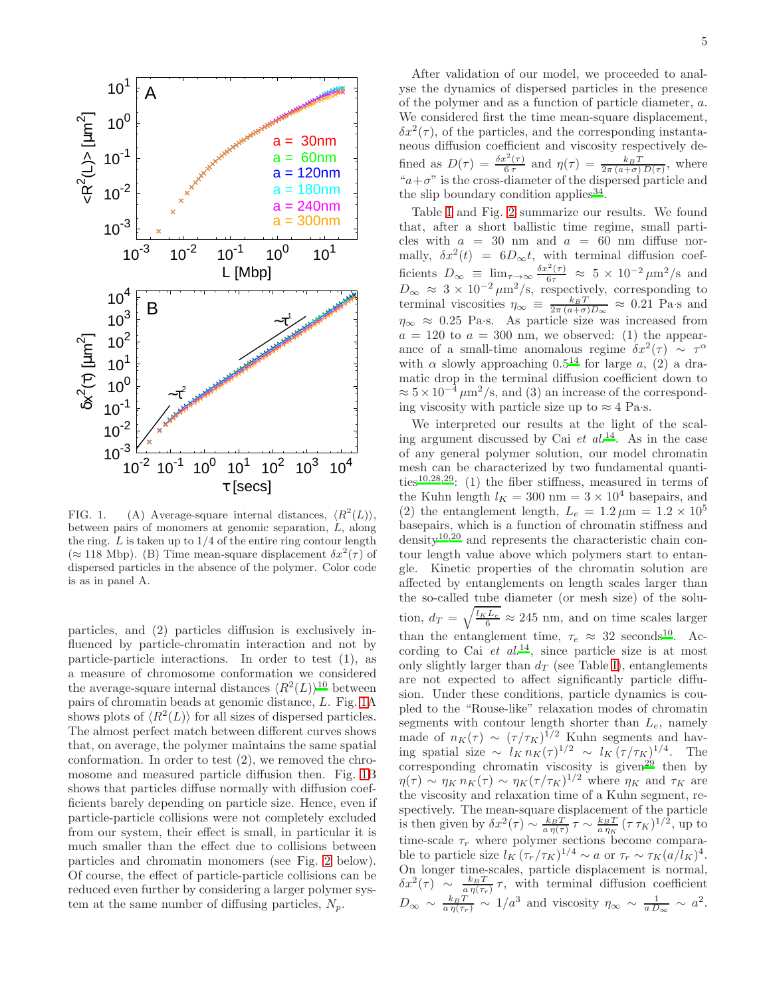

<span id="page-4-0"></span>FIG. 1. (A) Average-square internal distances,  $\langle R^2(L) \rangle$ , between pairs of monomers at genomic separation, L, along the ring.  $L$  is taken up to  $1/4$  of the entire ring contour length  $(\approx 118 \text{ Mbp})$ . (B) Time mean-square displacement  $\delta x^2(\tau)$  of dispersed particles in the absence of the polymer. Color code is as in panel A.

particles, and (2) particles diffusion is exclusively influenced by particle-chromatin interaction and not by particle-particle interactions. In order to test (1), as a measure of chromosome conformation we considered the average-square internal distances  $\langle R^2(L) \rangle^{10}$  $\langle R^2(L) \rangle^{10}$  $\langle R^2(L) \rangle^{10}$  between pairs of chromatin beads at genomic distance, L. Fig. [1A](#page-4-0) shows plots of  $\langle R^2(L) \rangle$  for all sizes of dispersed particles. The almost perfect match between different curves shows that, on average, the polymer maintains the same spatial conformation. In order to test (2), we removed the chromosome and measured particle diffusion then. Fig. [1B](#page-4-0) shows that particles diffuse normally with diffusion coefficients barely depending on particle size. Hence, even if particle-particle collisions were not completely excluded from our system, their effect is small, in particular it is much smaller than the effect due to collisions between particles and chromatin monomers (see Fig. [2](#page-5-0) below). Of course, the effect of particle-particle collisions can be reduced even further by considering a larger polymer system at the same number of diffusing particles,  $N_p$ .

After validation of our model, we proceeded to analyse the dynamics of dispersed particles in the presence of the polymer and as a function of particle diameter, a. We considered first the time mean-square displacement,  $\delta x^2(\tau)$ , of the particles, and the corresponding instantaneous diffusion coefficient and viscosity respectively defined as  $D(\tau) = \frac{\delta x^2(\tau)}{6\tau}$  $\frac{\hbar^2(\tau)}{6\tau}$  and  $\eta(\tau) = \frac{k_B T}{2\pi (a+\sigma) D(\tau)}$ , where " $a+\sigma$ " is the cross-diameter of the dispersed particle and the slip boundary condition applies  $34$ .

Table [I](#page-2-1) and Fig. [2](#page-5-0) summarize our results. We found that, after a short ballistic time regime, small particles with  $a = 30$  nm and  $a = 60$  nm diffuse normally,  $\delta x^2(t) = 6D_{\infty}t$ , with terminal diffusion coefficients  $D_{\infty} \equiv \lim_{\tau \to \infty} \frac{\delta x^2(\tau)}{6\tau} \approx 5 \times 10^{-2} \mu \text{m}^2/\text{s}$  and  $D_{\infty} \approx 3 \times 10^{-2} \mu \text{m}^2/\text{s}$ , respectively, corresponding to terminal viscosities  $\eta_{\infty} \equiv \frac{k_B T}{2\pi (a+\sigma)D_{\infty}} \approx 0.21$  Pa·s and  $\eta_{\infty} \approx 0.25$  Pa·s. As particle size was increased from  $a = 120$  to  $a = 300$  nm, we observed: (1) the appearance of a small-time anomalous regime  $\delta x^2(\tau) \sim \tau^{\alpha}$ with  $\alpha$  slowly approaching 0.5<sup>[14](#page-9-12)</sup> for large a, (2) a dramatic drop in the terminal diffusion coefficient down to  $\approx 5 \times 10^{-4} \mu m^2$ /s, and (3) an increase of the corresponding viscosity with particle size up to  $\approx 4$  Pa·s.

We interpreted our results at the light of the scaling argument discussed by Cai et  $al^{14}$  $al^{14}$  $al^{14}$ . As in the case of any general polymer solution, our model chromatin mesh can be characterized by two fundamental quanti-ties<sup>[10](#page-9-9)[,28](#page-9-26)[,29](#page-9-27)</sup>: (1) the fiber stiffness, measured in terms of the Kuhn length  $l_K = 300$  nm =  $3 \times 10^4$  basepairs, and (2) the entanglement length,  $L_e = 1.2 \,\mu \text{m} = 1.2 \times 10^5$ basepairs, which is a function of chromatin stiffness and density[10](#page-9-9)[,20](#page-9-19) and represents the characteristic chain contour length value above which polymers start to entangle. Kinetic properties of the chromatin solution are affected by entanglements on length scales larger than the so-called tube diameter (or mesh size) of the solution,  $d_T = \sqrt{\frac{l_K L_e}{6}} \approx 245$  nm, and on time scales larger than the entanglement time,  $\tau_e \approx 32$  seconds<sup>[10](#page-9-9)</sup>. According to Cai  $et$   $al$ <sup>[14](#page-9-12)</sup>, since particle size is at most only slightly larger than  $d_T$  (see Table [I\)](#page-2-1), entanglements are not expected to affect significantly particle diffusion. Under these conditions, particle dynamics is coupled to the "Rouse-like" relaxation modes of chromatin segments with contour length shorter than  $L_e$ , namely made of  $n_K(\tau) \sim (\tau/\tau_K)^{1/2}$  Kuhn segments and having spatial size ~  $l_K n_K(\tau)^{1/2} \sim l_K (\tau/\tau_K)^{1/4}$ . The corresponding chromatin viscosity is given<sup>[29](#page-9-27)</sup> then by  $\eta(\tau) \sim \eta_K n_K(\tau) \sim \eta_K (\tau/\tau_K)^{1/2}$  where  $\eta_K$  and  $\tau_K$  are the viscosity and relaxation time of a Kuhn segment, respectively. The mean-square displacement of the particle is then given by  $\delta x^2(\tau) \sim \frac{k_B T}{a \eta(\tau)} \tau \sim \frac{k_B T}{a \eta_K} (\tau \tau_K)^{1/2}$ , up to time-scale  $\tau_r$  where polymer sections become comparable to particle size  $l_K (\tau_r/\tau_K)^{1/4} \sim a$  or  $\tau_r \sim \tau_K (a/l_K)^4$ . On longer time-scales, particle displacement is normal,  $\delta x^2(\tau) \sim \frac{k_B T}{a \eta(\tau_r)} \tau$ , with terminal diffusion coefficient  $D_{\infty} \sim \frac{k_B T}{a \eta(\tau_r)} \sim 1/a^3$  and viscosity  $\eta_{\infty} \sim \frac{1}{a D_{\infty}} \sim a^2$ .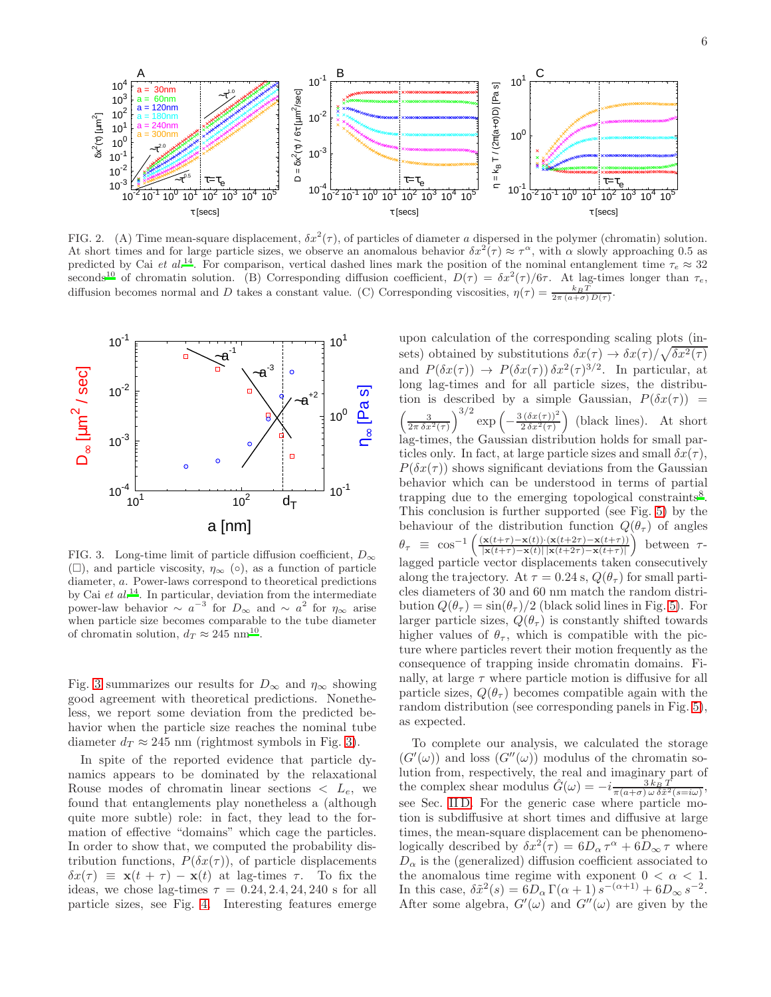

<span id="page-5-0"></span>FIG. 2. (A) Time mean-square displacement,  $\delta x^2(\tau)$ , of particles of diameter a dispersed in the polymer (chromatin) solution. At short times and for large particle sizes, we observe an anomalous behavior  $\delta x^2(\tau) \approx \tau^{\alpha}$ , with  $\alpha$  slowly approaching 0.5 as predicted by Cai et al.<sup>[14](#page-9-12)</sup>. For comparison, vertical dashed lines mark the position of the nominal entanglement time  $\tau_e \approx 32$ seconds<sup>[10](#page-9-9)</sup> of chromatin solution. (B) Corresponding diffusion coefficient,  $D(\tau) = \delta x^2(\tau)/6\tau$ . At lag-times longer than  $\tau_e$ , diffusion becomes normal and D takes a constant value. (C) Corresponding viscosities,  $\eta(\tau) = \frac{k_B T}{2\pi (a+\sigma) D(\tau)}$ .



<span id="page-5-1"></span>FIG. 3. Long-time limit of particle diffusion coefficient,  $D_{\infty}$  $(\Box)$ , and particle viscosity,  $\eta_{\infty}$  ( $\circ$ ), as a function of particle diameter, a. Power-laws correspond to theoretical predictions by Cai et  $al^{14}$  $al^{14}$  $al^{14}$ . In particular, deviation from the intermediate power-law behavior  $\sim a^{-3}$  for  $D_{\infty}$  and  $\sim a^2$  for  $\eta_{\infty}$  arise when particle size becomes comparable to the tube diameter of chromatin solution,  $d_T \approx 245$  nm<sup>[10](#page-9-9)</sup>.

Fig. [3](#page-5-1) summarizes our results for  $D_{\infty}$  and  $\eta_{\infty}$  showing good agreement with theoretical predictions. Nonetheless, we report some deviation from the predicted behavior when the particle size reaches the nominal tube diameter  $d_T \approx 245$  nm (rightmost symbols in Fig. [3\)](#page-5-1).

In spite of the reported evidence that particle dynamics appears to be dominated by the relaxational Rouse modes of chromatin linear sections  $\langle L_e, \rangle$  we found that entanglements play nonetheless a (although quite more subtle) role: in fact, they lead to the formation of effective "domains" which cage the particles. In order to show that, we computed the probability distribution functions,  $P(\delta x(\tau))$ , of particle displacements  $\delta x(\tau) \equiv \mathbf{x}(t + \tau) - \mathbf{x}(t)$  at lag-times  $\tau$ . To fix the ideas, we chose lag-times  $\tau = 0.24, 2.4, 24, 240$  s for all particle sizes, see Fig. [4.](#page-6-0) Interesting features emerge

upon calculation of the corresponding scaling plots (insets) obtained by substitutions  $\delta x(\tau) \to \delta x(\tau) / \sqrt{\delta x^2(\tau)}$ and  $P(\delta x(\tau)) \to P(\delta x(\tau)) \delta x^2(\tau)^{3/2}$ . In particular, at long lag-times and for all particle sizes, the distribution is described by a simple Gaussian,  $P(\delta x(\tau))$  =  $\left(\frac{3}{2\pi\,\delta x^2(\tau)}\right)^{3/2}$  $\exp\left(-\frac{3(\delta x(\tau))^2}{2\delta x^2(\tau)}\right)$  $\left(\frac{(\delta x(\tau))^2}{2\delta x^2(\tau)}\right)$  (black lines). At short lag-times, the Gaussian distribution holds for small particles only. In fact, at large particle sizes and small  $\delta x(\tau)$ ,  $P(\delta x(\tau))$  shows significant deviations from the Gaussian behavior which can be understood in terms of partial trapping due to the emerging topological constraints<sup>[8](#page-9-7)</sup>. This conclusion is further supported (see Fig. [5\)](#page-7-1) by the behaviour of the distribution function  $Q(\theta_\tau)$  of angles  $\theta_{\tau} \equiv \cos^{-1}$  $\int \frac{(\mathbf{x}(t+\tau)-\mathbf{x}(t))\cdot(\mathbf{x}(t+2\tau)-\mathbf{x}(t+\tau))}{\tau(t+\tau)}$  $\frac{\mathbf{x}(t+\tau)-\mathbf{x}(t))\cdot(\mathbf{x}(t+2\tau)-\mathbf{x}(t+\tau))}{\mathbf{x}(t+\tau)-\mathbf{x}(t)\|\mathbf{x}(t+2\tau)-\mathbf{x}(t+\tau)\|}$ between  $\tau$ lagged particle vector displacements taken consecutively along the trajectory. At  $\tau = 0.24$  s,  $Q(\theta_{\tau})$  for small particles diameters of 30 and 60 nm match the random distribution  $Q(\theta_\tau) = \sin(\theta_\tau)/2$  (black solid lines in Fig. [5\)](#page-7-1). For larger particle sizes,  $Q(\theta_\tau)$  is constantly shifted towards higher values of  $\theta_{\tau}$ , which is compatible with the picture where particles revert their motion frequently as the consequence of trapping inside chromatin domains. Finally, at large  $\tau$  where particle motion is diffusive for all particle sizes,  $Q(\theta_\tau)$  becomes compatible again with the random distribution (see corresponding panels in Fig. [5\)](#page-7-1), as expected.

To complete our analysis, we calculated the storage  $(G'(\omega))$  and loss  $(G''(\omega))$  modulus of the chromatin solution from, respectively, the real and imaginary part of the complex shear modulus  $\hat{G}(\omega) = -i \frac{3 k_B^2 T}{\pi (a + \sigma) \omega \delta \tilde{x}^2 (s = i\omega)},$ see Sec. [II D.](#page-3-3) For the generic case where particle motion is subdiffusive at short times and diffusive at large times, the mean-square displacement can be phenomenologically described by  $\delta x^2(\tau) = 6D_\alpha \tau^\alpha + 6D_\infty \tau$  where  $D_{\alpha}$  is the (generalized) diffusion coefficient associated to the anomalous time regime with exponent  $0 < \alpha < 1$ . In this case,  $\delta \tilde{x}^2(s) = 6D_\alpha \Gamma(\alpha + 1) s^{-(\alpha+1)} + 6D_\infty s^{-2}$ . After some algebra,  $G'(\omega)$  and  $G''(\omega)$  are given by the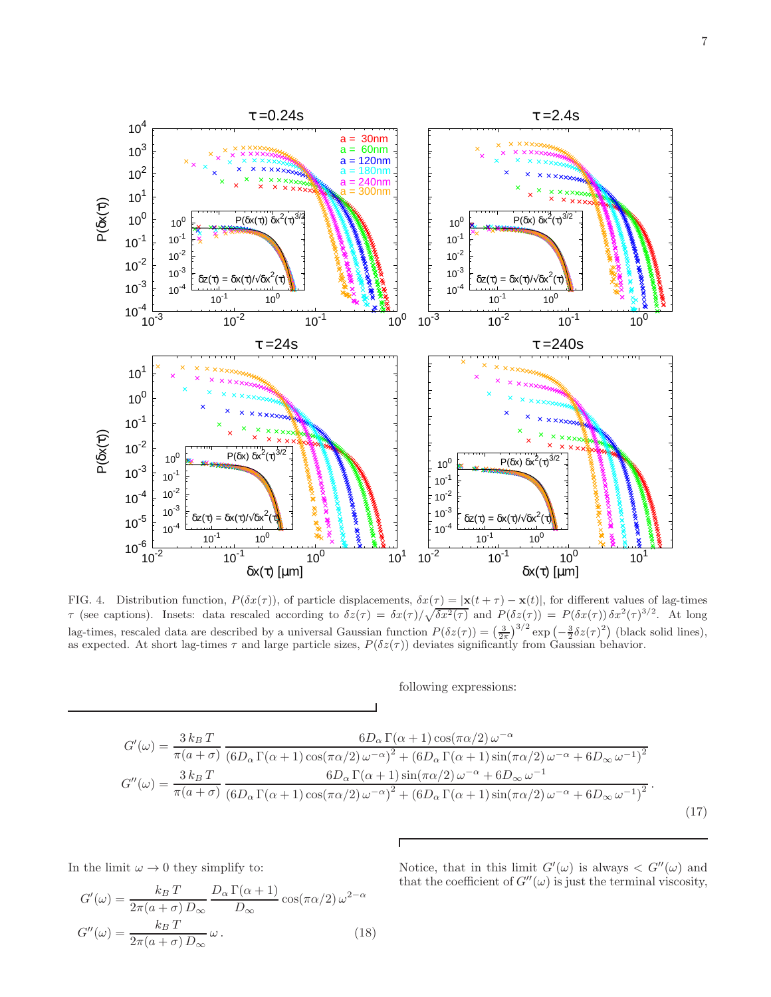

<span id="page-6-0"></span>FIG. 4. Distribution function,  $P(\delta x(\tau))$ , of particle displacements,  $\delta x(\tau) = |\mathbf{x}(t + \tau) - \mathbf{x}(t)|$ , for different values of lag-times τ (see captions). Insets: data rescaled according to  $\delta z(\tau) = \delta x(\tau)/\sqrt{\delta x^2(\tau)}$  and  $P(\delta z(\tau)) = P(\delta x(\tau))\delta x^2(\tau)^{3/2}$ . At long lag-times, rescaled data are described by a universal Gaussian function  $P(\delta z(\tau)) = \left(\frac{3}{2\pi}\right)^{3/2} \exp\left(-\frac{3}{2}\delta z(\tau)^2\right)$  (black solid lines), as expected. At short lag-times  $\tau$  and large particle sizes,  $P(\delta z(\tau))$  deviates significantly from Gaussian behavior.

following expressions:

$$
G'(\omega) = \frac{3 k_B T}{\pi (a + \sigma)} \frac{6 D_\alpha \Gamma(\alpha + 1) \cos(\pi \alpha/2) \omega^{-\alpha}}{(6 D_\alpha \Gamma(\alpha + 1) \cos(\pi \alpha/2) \omega^{-\alpha})^2 + (6 D_\alpha \Gamma(\alpha + 1) \sin(\pi \alpha/2) \omega^{-\alpha} + 6 D_\infty \omega^{-1})^2}
$$

$$
G''(\omega) = \frac{3 k_B T}{\pi (a + \sigma)} \frac{6 D_\alpha \Gamma(\alpha + 1) \sin(\pi \alpha/2) \omega^{-\alpha} + 6 D_\infty \omega^{-1}}{(6 D_\alpha \Gamma(\alpha + 1) \cos(\pi \alpha/2) \omega^{-\alpha})^2 + (6 D_\alpha \Gamma(\alpha + 1) \sin(\pi \alpha/2) \omega^{-\alpha} + 6 D_\infty \omega^{-1})^2}.
$$
(17)

In the limit  $\omega \rightarrow 0$  they simplify to:

<span id="page-6-1"></span>
$$
G'(\omega) = \frac{k_B T}{2\pi (a + \sigma) D_{\infty}} \frac{D_{\alpha} \Gamma(\alpha + 1)}{D_{\infty}} \cos(\pi \alpha / 2) \omega^{2 - \alpha}
$$

$$
G''(\omega) = \frac{k_B T}{2\pi (a + \sigma) D_{\infty}} \omega.
$$
(18)

Notice, that in this limit  $G'(\omega)$  is always  $\langle G''(\omega) \rangle$  and that the coefficient of  $G''(\omega)$  is just the terminal viscosity,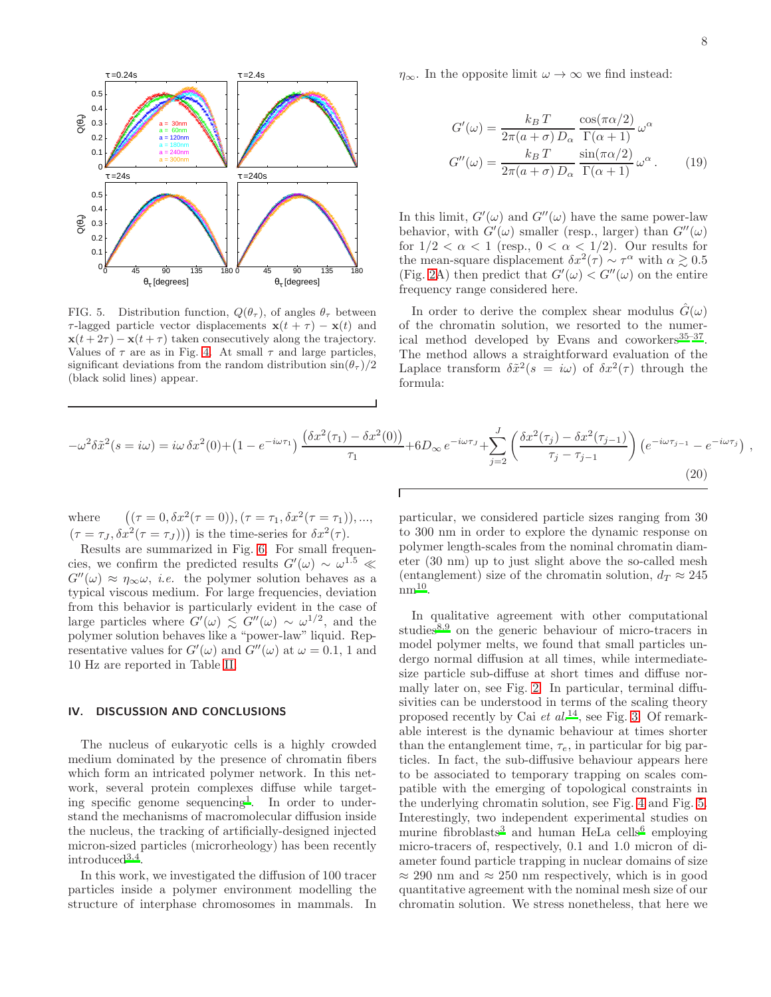

<span id="page-7-1"></span>FIG. 5. Distribution function,  $Q(\theta_\tau)$ , of angles  $\theta_\tau$  between  $\tau$ -lagged particle vector displacements  $\mathbf{x}(t + \tau) - \mathbf{x}(t)$  and  $\mathbf{x}(t + 2\tau) - \mathbf{x}(t + \tau)$  taken consecutively along the trajectory. Values of  $\tau$  are as in Fig. [4.](#page-6-0) At small  $\tau$  and large particles, significant deviations from the random distribution  $\sin(\theta_\tau)/2$ (black solid lines) appear.

 $\eta_{\infty}$ . In the opposite limit  $\omega \to \infty$  we find instead:

<span id="page-7-2"></span>
$$
G'(\omega) = \frac{k_B T}{2\pi (a + \sigma) D_{\alpha}} \frac{\cos(\pi \alpha/2)}{\Gamma(\alpha + 1)} \omega^{\alpha}
$$

$$
G''(\omega) = \frac{k_B T}{2\pi (a + \sigma) D_{\alpha}} \frac{\sin(\pi \alpha/2)}{\Gamma(\alpha + 1)} \omega^{\alpha}.
$$
(19)

In this limit,  $G'(\omega)$  and  $G''(\omega)$  have the same power-law behavior, with  $G'(\omega)$  smaller (resp., larger) than  $G''(\omega)$ for  $1/2 < \alpha < 1$  (resp.,  $0 < \alpha < 1/2$ ). Our results for the mean-square displacement  $\delta x^2(\tau) \sim \tau^{\alpha}$  with  $\alpha \gtrsim 0.5$ (Fig. [2A](#page-5-0)) then predict that  $G'(\omega) < G''(\omega)$  on the entire frequency range considered here.

In order to derive the complex shear modulus  $\hat{G}(\omega)$ of the chromatin solution, we resorted to the numer-ical method developed by Evans and coworkers<sup>[35](#page-9-34)-37</sup>. The method allows a straightforward evaluation of the Laplace transform  $\delta \tilde{x}^2(s = i\omega)$  of  $\delta x^2(\tau)$  through the formula:

<span id="page-7-3"></span>
$$
-\omega^2 \delta \tilde{x}^2 (s = i\omega) = i\omega \delta x^2 (0) + (1 - e^{-i\omega \tau_1}) \frac{(\delta x^2 (\tau_1) - \delta x^2 (0))}{\tau_1} + 6D_{\infty} e^{-i\omega \tau_1} + \sum_{j=2}^J \left( \frac{\delta x^2 (\tau_j) - \delta x^2 (\tau_{j-1})}{\tau_j - \tau_{j-1}} \right) (e^{-i\omega \tau_{j-1}} - e^{-i\omega \tau_j}),
$$
\n(20)

where  $(\tau = 0, \delta x^2(\tau = 0)), (\tau = \tau_1, \delta x^2(\tau = \tau_1)), ...,$  $(\tau = \tau_J, \delta x^2(\tau = \tau_J)))$  is the time-series for  $\delta x^2(\tau)$ .

Results are summarized in Fig. [6.](#page-8-0) For small frequencies, we confirm the predicted results  $G'(\omega) \sim \omega^{1.5} \ll$  $G''(\omega) \approx \eta_{\infty}\omega$ , *i.e.* the polymer solution behaves as a typical viscous medium. For large frequencies, deviation from this behavior is particularly evident in the case of large particles where  $G'(\omega) \leq G''(\omega) \sim \omega^{1/2}$ , and the polymer solution behaves like a "power-law" liquid. Representative values for  $G'(\omega)$  and  $G''(\omega)$  at  $\omega = 0.1$ , 1 and 10 Hz are reported in Table [II.](#page-8-1)

## <span id="page-7-0"></span>IV. DISCUSSION AND CONCLUSIONS

The nucleus of eukaryotic cells is a highly crowded medium dominated by the presence of chromatin fibers which form an intricated polymer network. In this network, several protein complexes diffuse while target-ing specific genome sequencing<sup>[1](#page-9-0)</sup>. In order to understand the mechanisms of macromolecular diffusion inside the nucleus, the tracking of artificially-designed injected micron-sized particles (microrheology) has been recently introduced[3](#page-9-2)[,4](#page-9-3) .

In this work, we investigated the diffusion of 100 tracer particles inside a polymer environment modelling the structure of interphase chromosomes in mammals. In

particular, we considered particle sizes ranging from 30 to 300 nm in order to explore the dynamic response on polymer length-scales from the nominal chromatin diameter (30 nm) up to just slight above the so-called mesh (entanglement) size of the chromatin solution,  $d_T \approx 245$  $\text{nm}^{\text{10}}$  $\text{nm}^{\text{10}}$  $\text{nm}^{\text{10}}$ .

In qualitative agreement with other computational studies<sup>[8](#page-9-7)[,9](#page-9-8)</sup> on the generic behaviour of micro-tracers in model polymer melts, we found that small particles undergo normal diffusion at all times, while intermediatesize particle sub-diffuse at short times and diffuse normally later on, see Fig. [2.](#page-5-0) In particular, terminal diffusivities can be understood in terms of the scaling theory proposed recently by Cai  $et al.<sup>14</sup>$  $et al.<sup>14</sup>$  $et al.<sup>14</sup>$ , see Fig. [3.](#page-5-1) Of remarkable interest is the dynamic behaviour at times shorter than the entanglement time,  $\tau_e$ , in particular for big particles. In fact, the sub-diffusive behaviour appears here to be associated to temporary trapping on scales compatible with the emerging of topological constraints in the underlying chromatin solution, see Fig. [4](#page-6-0) and Fig. [5.](#page-7-1) Interestingly, two independent experimental studies on murine fibroblasts<sup>[3](#page-9-2)</sup> and human HeLa cells<sup>[6](#page-9-5)</sup> employing micro-tracers of, respectively, 0.1 and 1.0 micron of diameter found particle trapping in nuclear domains of size  $\approx 290$  nm and  $\approx 250$  nm respectively, which is in good quantitative agreement with the nominal mesh size of our chromatin solution. We stress nonetheless, that here we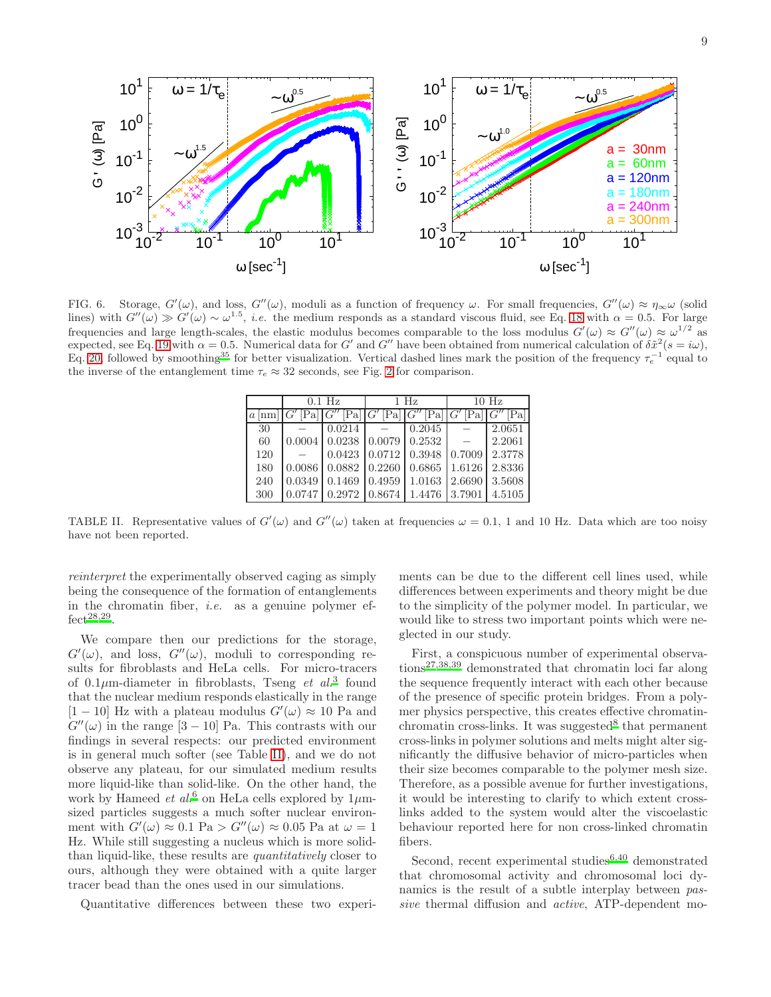

<span id="page-8-0"></span>FIG. 6. Storage,  $G'(\omega)$ , and loss,  $G''(\omega)$ , moduli as a function of frequency  $\omega$ . For small frequencies,  $G''(\omega) \approx \eta_{\infty} \omega$  (solid lines) with  $G''(\omega) \gg G'(\omega) \sim \omega^{1.5}$ , *i.e.* the medium responds as a standard viscous fluid, see Eq. [18](#page-6-1) with  $\alpha = 0.5$ . For large frequencies and large length-scales, the elastic modulus becomes comparable to the loss modulus  $G'(\omega) \approx G''(\omega) \approx \omega^{1/2}$  as expected, see Eq. [19](#page-7-2) with  $\alpha = 0.5$ . Numerical data for G' and G'' have been obtained from numerical calculation of  $\delta \tilde{x}^2(s = i\omega)$ , Eq. [20,](#page-7-3) followed by smoothing<sup>[35](#page-9-34)</sup> for better visualization. Vertical dashed lines mark the position of the frequency  $\tau_e^{-1}$  equal to the inverse of the entanglement time  $\tau_e \approx 32$  seconds, see Fig. [2](#page-5-0) for comparison.

|                   | $0.1$ Hz |                   | $1$ Hz                         |        | $10$ Hz    |        |
|-------------------|----------|-------------------|--------------------------------|--------|------------|--------|
| $a \, \text{lnm}$ | [Pa]     | [Pa]              | $ G' \operatorname{Pa}   G'' $ | [Pa]   | [Pa]   G'' | Pa     |
| 30                |          | 0.0214            |                                | 0.2045 |            | 2.0651 |
| 60                | 0.0004   | $0.0238$ 0.0079   |                                | 0.2532 |            | 2.2061 |
| 120               |          | 0.0423            | 0.0712                         | 0.3948 | 0.7009     | 2.3778 |
| 180               | 0.0086   | $0.0882$ $0.2260$ |                                | 0.6865 | 1.6126     | 2.8336 |
| 240               | 0.0349   | 0.1469            | 0.4959                         | 1.0163 | 2.6690     | 3.5608 |
| 300               | 0.0747   | $0.2972$ $0.8674$ |                                | 1.4476 | 3.7901     | 4.5105 |

<span id="page-8-1"></span>TABLE II. Representative values of  $G'(\omega)$  and  $G''(\omega)$  taken at frequencies  $\omega = 0.1$ , 1 and 10 Hz. Data which are too noisy have not been reported.

reinterpret the experimentally observed caging as simply being the consequence of the formation of entanglements in the chromatin fiber, *i.e.* as a genuine polymer ef- $fect<sup>28,29</sup>$  $fect<sup>28,29</sup>$  $fect<sup>28,29</sup>$  $fect<sup>28,29</sup>$ .

We compare then our predictions for the storage,  $G'(\omega)$ , and loss,  $G''(\omega)$ , moduli to corresponding results for fibroblasts and HeLa cells. For micro-tracers of  $0.1\mu$ m-diameter in fibroblasts, Tseng *et al.*<sup>[3](#page-9-2)</sup> found that the nuclear medium responds elastically in the range [1 – 10] Hz with a plateau modulus  $G'(\omega) \approx 10$  Pa and  $G''(\omega)$  in the range [3 – 10] Pa. This contrasts with our findings in several respects: our predicted environment is in general much softer (see Table [II\)](#page-8-1), and we do not observe any plateau, for our simulated medium results more liquid-like than solid-like. On the other hand, the work by Hameed *et al.*<sup>[6](#page-9-5)</sup> on HeLa cells explored by  $1\mu$ msized particles suggests a much softer nuclear environment with  $G'(\omega) \approx 0.1$  Pa >  $G''(\omega) \approx 0.05$  Pa at  $\omega = 1$ Hz. While still suggesting a nucleus which is more solidthan liquid-like, these results are quantitatively closer to ours, although they were obtained with a quite larger tracer bead than the ones used in our simulations.

Quantitative differences between these two experi-

ments can be due to the different cell lines used, while differences between experiments and theory might be due to the simplicity of the polymer model. In particular, we would like to stress two important points which were neglected in our study.

First, a conspicuous number of experimental observations[27](#page-9-25)[,38](#page-9-36)[,39](#page-9-37) demonstrated that chromatin loci far along the sequence frequently interact with each other because of the presence of specific protein bridges. From a polymer physics perspective, this creates effective chromatin-chromatin cross-links. It was suggested<sup>[8](#page-9-7)</sup> that permanent cross-links in polymer solutions and melts might alter significantly the diffusive behavior of micro-particles when their size becomes comparable to the polymer mesh size. Therefore, as a possible avenue for further investigations, it would be interesting to clarify to which extent crosslinks added to the system would alter the viscoelastic behaviour reported here for non cross-linked chromatin fibers.

Second, recent experimental [s](#page-9-5)tudies $6,40$  $6,40$  demonstrated that chromosomal activity and chromosomal loci dynamics is the result of a subtle interplay between passive thermal diffusion and active, ATP-dependent mo